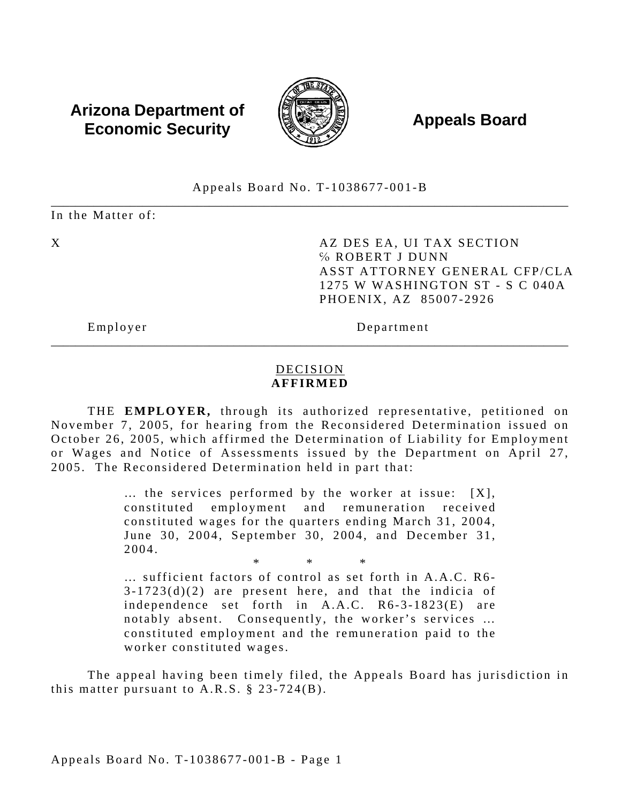# **Arizona Department of**  $\overline{a}$  **Appeals Board**<br>**Economic Security Appeals Board**



Appeals Board No. T-1038677-001-B

\_\_\_\_\_\_\_\_\_\_\_\_\_\_\_\_\_\_\_\_\_\_\_\_\_\_\_\_\_\_\_\_\_\_\_\_\_\_\_\_\_\_\_\_\_\_\_\_\_\_\_\_\_\_\_\_\_\_\_\_\_\_\_\_\_\_\_\_\_\_\_\_\_\_\_\_\_\_\_\_\_\_\_\_\_ In the Matter of:

X AZ DES EA, UI TAX SECTION ℅ ROBERT J DUNN ASST ATTORNEY GENERAL CFP/CLA 1275 W WASHINGTON ST - S C 040A PHOENIX, AZ 85007-2926

Employer Department

## DECISION **AFFIRMED**

\_\_\_\_\_\_\_\_\_\_\_\_\_\_\_\_\_\_\_\_\_\_\_\_\_\_\_\_\_\_\_\_\_\_\_\_\_\_\_\_\_\_\_\_\_\_\_\_\_\_\_\_\_\_\_\_\_\_\_\_\_\_\_\_\_\_\_\_\_\_\_\_\_\_\_\_\_\_\_\_\_\_\_\_\_

THE **EMPLOYER,** through its authorized representative, petitioned on November 7, 2005, for hearing from the Reconsidered Determination issued on October 26, 2005, which affirmed the Determination of Liability for Employment or Wages and Notice of Assessments issued by the Department on April 27, 2005. The Reconsidered Determination held in part that:

> … the services performed by the worker at issue: [X], constituted employment and remuneration received constituted wages for the quarters ending March 31, 2004, June 30, 2004, September 30, 2004, and December 31, 2004.

> \* \* \* … sufficient factors of control as set forth in A.A.C. R6 -  $3-1723(d)(2)$  are present here, and that the indicia of independence set forth in A.A.C. R6-3-1823(E) are notably absent. Consequently, the worker's services … constituted employment and the remuneration paid to the worker constituted wages.

The appeal having been timely filed, the Appeals Board has jurisdiction in this matter pursuant to  $A.R.S. \S 23-724(B)$ .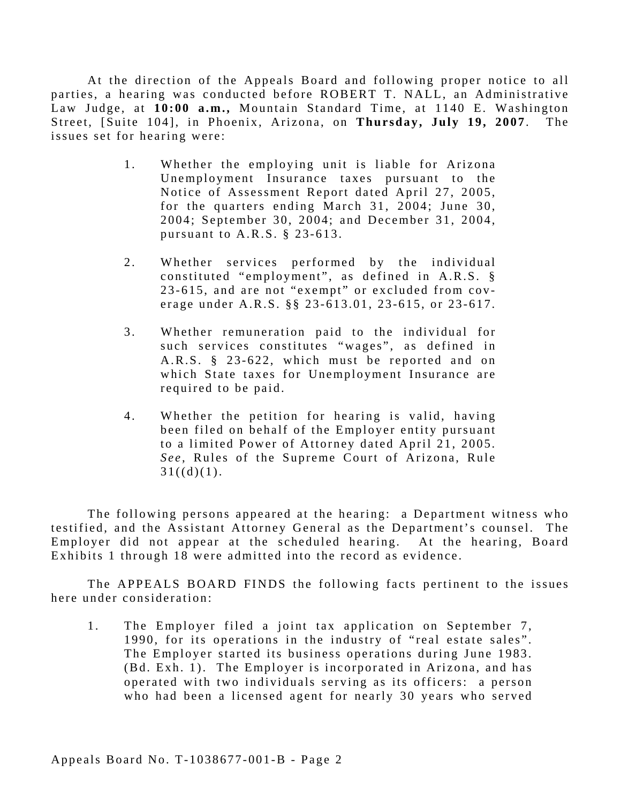At the direction of the Appeals Board and following proper notice to all parties, a hearing was conducted before ROBERT T. NALL, an Administrative Law Judge, at 10:00 a.m., Mountain Standard Time, at 1140 E. Washington Street, [Suite 104], in Phoenix, Arizona, on **Thursday, July 19, 2007**. The issues set for hearing were:

- 1. Whether the employing unit is liable for Arizona Unemployment Insurance taxes pursuant to the Notice of Assessment Report dated April 27, 2005, for the quarters ending March 31, 2004; June 30, 2004; September 30, 2004; and December 31, 2004, pursuant to A.R.S. § 23-613.
- 2. Whether services performed by the individual constituted "employment", as defined in A.R.S. § 23-615, and are not "exempt" or excluded from cov erage under A.R.S. §§ 23-613.01, 23-615, or 23-617.
- such services constitutes "wages", as defined in 3. Whether remuneration paid to the individual for A.R.S. § 23-622, which must be reported and on which State taxes for Unemployment Insurance are required to be paid.
- 4. Whether the petition for hearing is valid, having been filed on behalf of the Employer entity pursuant to a limited Power of Attorney dated April 21, 2005. See, Rules of the Supreme Court of Arizona, Rule  $31((d)(1).$

The following persons appeared at the hearing: a Department witness who testified, and the Assistant Attorney General as the Department's counsel. The Employer did not appear at the scheduled hearing. At the hearing, Board Exhibits 1 through 18 were admitted into the record as evidence.

The APPEALS BOARD FINDS the following facts pertinent to the issues here under consideration:

1. The Employer filed a joint tax application on September 7, 1990, for its operations in the industry of "real estate sales". The Employer started its business operations during June 1983. (Bd. Exh. 1). The Employer is incorporated in Arizona, and has operated with two individuals serving as its officers: a person who had been a licensed agent for nearly 30 years who served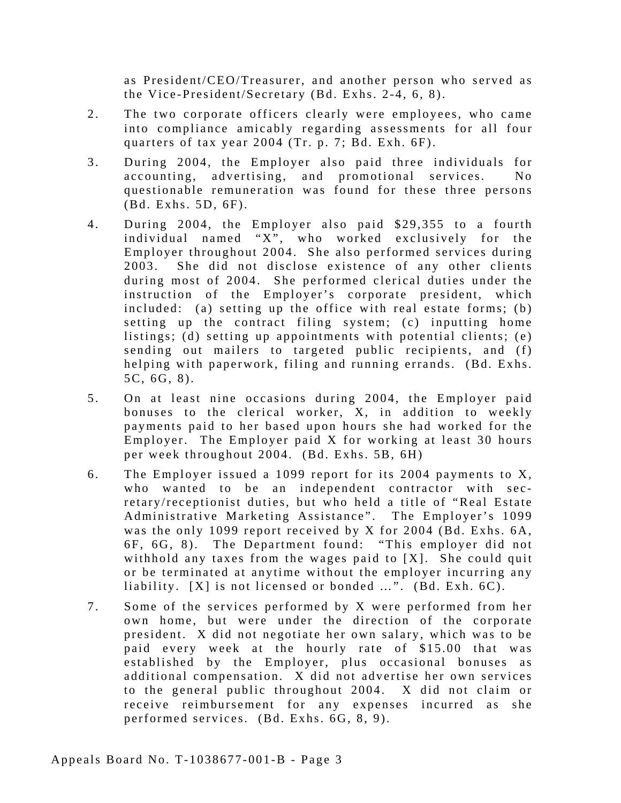as President/CEO/Treasurer, and another person who served as the Vice-President/Secretary (Bd. Exhs. 2-4, 6, 8).

- 2. The two corporate officers clearly were employees, who came into compliance amicably regarding assessments for all four quarters of tax year 2004 (Tr. p. 7; Bd. Exh. 6F).
- 3. During 2004, the Employer also paid three individuals for accounting, advertising, and promotional services. No questionable remuneration was found for these three persons (Bd. Exhs. 5D, 6F).
- 4. During 2004, the Employer also paid \$29,355 to a fourth individual named "X", who worked exclusively for the Employer throughout 2004. She also performed services during 2003. She did not disclose existence of any other clients during most of 2004. She performed clerical duties under the instruction of the Employer's corporate president, which included: (a) setting up the office with real estate forms;  $(b)$ setting up the contract filing system; (c) inputting home listings; (d) setting up appointments with potential clients; (e) sending out mailers to targeted public recipients, and (f) helping with paperwork, filing and running errands. (Bd. Exhs. 5C, 6G, 8).
- 5. On at least nine occasions during 2004, the Employer paid bonuses to the clerical worker, X, in addition to weekly payments paid to her based upon hours she had worked for the Employer. The Employer paid X for working at least 30 hours per week throughout 2004. (Bd. Exhs. 5B, 6H)
- 6. The Employer issued a 1099 report for its 2004 payments to X, who wanted to be an independent contractor with secretary/receptionist duties, but who held a title of "Real Estate Administrative Marketing Assistance". The Employer's 1099 was the only 1099 report received by X for 2004 (Bd. Exhs. 6A, 6F, 6G, 8). The Department found: "This employer did not withhold any taxes from the wages paid to [X]. She could quit or be terminated at anytime without the employer incurring any liability.  $[X]$  is not licensed or bonded ...".  $(Bd. Exh. 6C)$ .
- 7. Some of the services performed by X were performed from her own home, but were under the direction of the corporate president. X did not negotiate her own salary, which was to be paid every week at the hourly rate of \$15.00 that was established by the Employer, plus occasional bonuses as additional compensation. X did not advertise her own services to the general public throughout 2004. X did not claim or receive reimbursement for any expenses incurred as she performed services. (Bd. Exhs. 6G, 8, 9).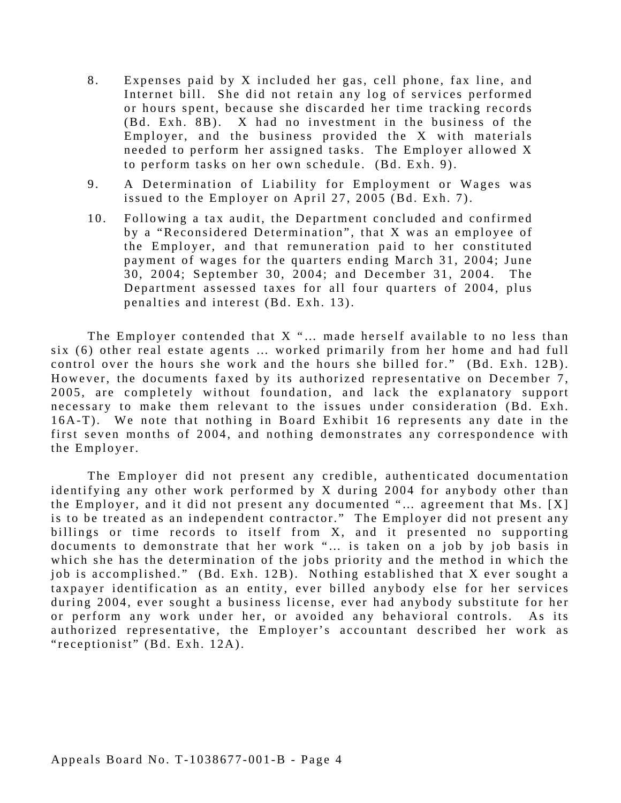- 8. Expenses paid by X included her gas, cell phone, fax line, and Internet bill. She did not retain any log of services performed or hours spent, because she discarded her time tracking records (Bd. Exh. 8B). X had no investment in the business of the Employer, and the business provided the X with materials needed to perform her assigned tasks. The Employer allowed X to perform tasks on her own schedule. (Bd. Exh. 9).
- 9. A Determination of Liability for Employment or Wages was issued to the Employer on April 27, 2005 (Bd. Exh. 7).
- 10. Following a tax audit, the Department concluded and confirmed by a "Reconsidered Determination", that X was an employee of the Employer, and that remuneration paid to her constituted payment of wages for the quarters ending March 31, 2004; June 30, 2004; September 30, 2004; and December 31, 2004. The Department assessed taxes for all four quarters of 2004, plus penalties and interest (Bd. Exh. 13).

The Employer contended that X "… made herself available to no less than six (6) other real estate agents … worked primarily from her home and had full control over the hours she work and the hours she billed for." (Bd. Exh. 12B). However, the documents faxed by its authorized representative on December 7, 2005, are completely without foundation, and lack the explanatory support necessary to make them relevant to the issues under consideration (Bd. Exh. 16A-T). We note that nothing in Board Exhibit 16 represents any date in the first seven months of 2004, and nothing demonstrates any correspondence with the Employer.

The Employer did not present any credible, authenticated documentation identifying any other work performed by  $X$  during 2004 for anybody other than the Employer, and it did not present any documented "… agreement that Ms. [X] is to be treated as an independent contractor." The Employer did not present any billings or time records to itself from X, and it presented no supporting documents to demonstrate that her work "... is taken on a job by job basis in which she has the determination of the jobs priority and the method in which the job is accomplished." (Bd. Exh. 12B). Nothing established that X ever sought a taxpayer identification as an entity, ever billed anybody else for her services during 2004, ever sought a business license, ever had anybody substitute for her or perform any work under her, or avoided any behavioral controls. As its authorized representative, the Employer's accountant described her work as "receptionist" (Bd. Exh. 12A).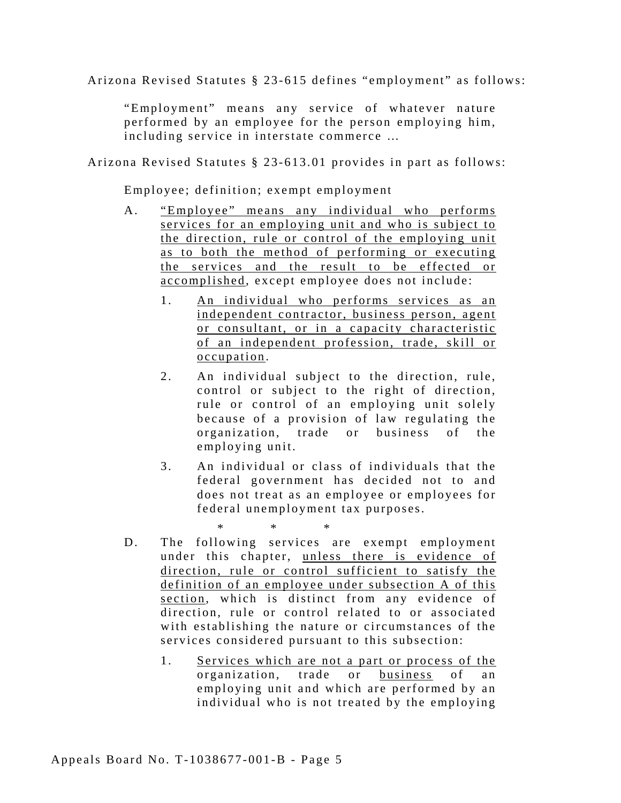Arizona Revised Statutes § 23-615 defines "employment" as follows:

"Employment" means any service of whatever nature performed by an employee for the person employing him, including service in interstate commerce …

Arizona Revised Statutes § 23-613.01 provides in part as follows:

Employee; definition; exempt employment

- A. "Employee" means any individual who performs services for an employing unit and who is subject to the direction, rule or control of the employing unit as to both the method of performing or executing the services and the result to be effected or accomplished, except employee does not include:
	- 1. An individual who performs services as an independent contractor, business person, agent or consultant, or in a capacity characteristic of an independent profession, trade, skill or occupation.
	- 2. An individual subject to the direction, rule, control or subject to the right of direction, rule or control of an employing unit solely because of a provision of law regulating the organization, trade or business of the employing unit.
	- 3. An individual or class of individuals that the federal government has decided not to and does not treat as an employee or employees for federal unemployment tax purposes.

*\* \* \**  D. The following services are exempt employment under this chapter, unless there is evidence of direction, rule or control sufficient to satisfy the definition of an employee under subsection A of this section, which is distinct from any evidence of direction, rule or control related to or associated with establishing the nature or circumstances of the services considered pursuant to this subsection:

1. Services which are not a part or process of the organization, trade or business of an employing unit and which are performed by an individual who is not treated by the employing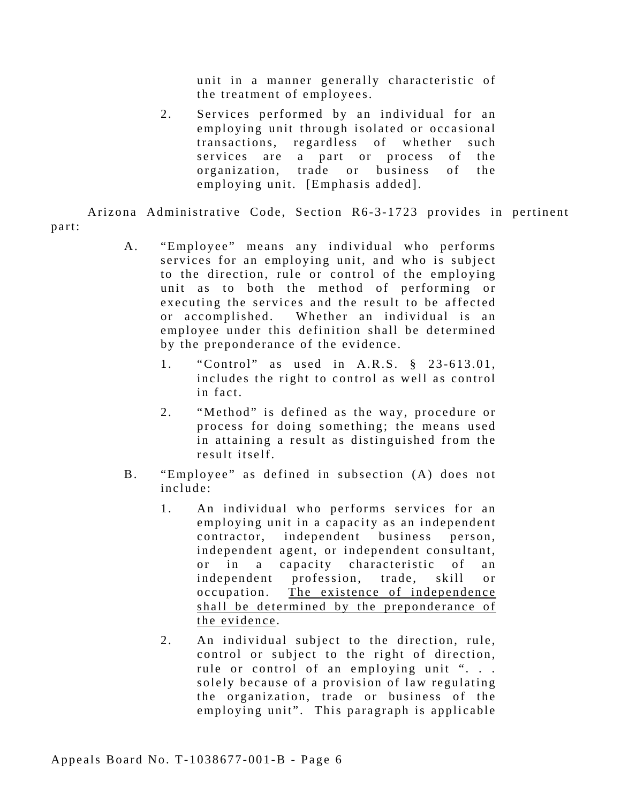unit in a manner generally characteristic of the treatment of employees.

2. Services performed by an individual for an employing unit through isolated or occasional transactions, regardless of whether such services are a part or process of the organization, trade or business of the employing unit. [Emphasis added].

Arizona Administrative Code, Section R6-3-1723 provides in pertinent part:

- A. "Employee" means any individual who performs services for an employing unit, and who is subject to the direction, rule or control of the employing unit as to both the method of performing or executing the services and the result to be affected or accomplished. Whether an individual is an employee under this definition shall be determined by the preponderance of the evidence.
	- 1. "Control" as used in A.R.S. § 23-613.01, includes the right to control as well as control in fact.
	- 2. "Method" is defined as the way, procedure or process for doing something; the means used in attaining a result as distinguished from the result itself.
- B. "Employee" as defined in subsection (A) does not include:
	- 1. An individual who performs services for an employing unit in a capacity as an independent contractor, independent business person, independent agent, or independent consultant, or in a capacity characteristic of an independent profession, trade, skill or occupation. The existence of independence shall be determined by the preponderance of the evidence .
	- 2. An individual subject to the direction, rule, control or subject to the right of direction, rule or control of an employing unit ". . . solely because of a provision of law regulating the organization, trade or business of the employing unit". This paragraph is applicable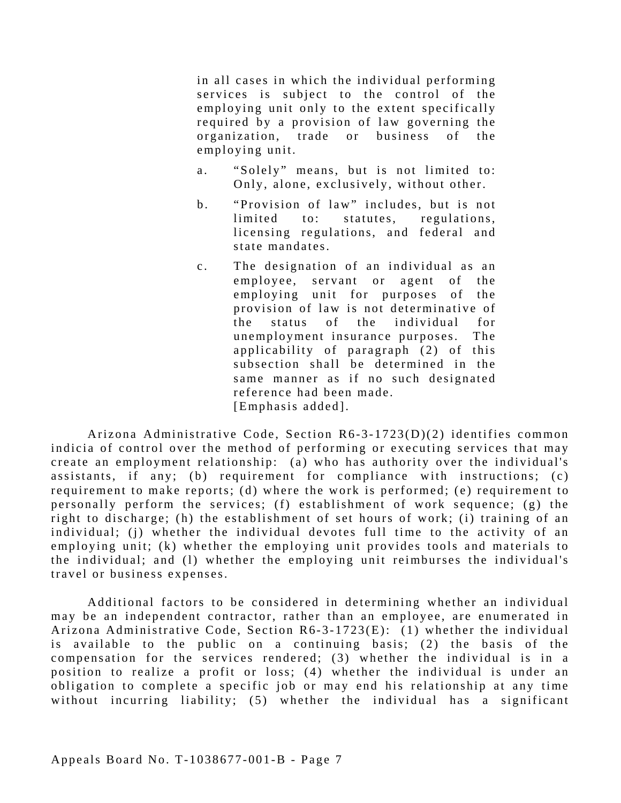in all cases in which the individual performing services is subject to the control of the employing unit only to the extent specifically required by a provision of law governing the organization, trade or business of the employing unit.

- a. "Solely" means, but is not limited to: Only, alone, exclusively, without other.
- b. "Provision of law" includes, but is not limited to: statutes, regulations, licensing regulations, and federal and state mandates.
- c. The designation of an individual as an employee, servant or agent of the employing unit for purposes of the provision of law is not determinative of the status of the individual for unemployment insurance purposes. The applicability of paragraph (2) of this subsection shall be determined in the same manner as if no such designated reference had been made. [Emphasis added].

Arizona Administrative Code, Section R6-3-1723(D)(2) identifies common indicia of control over the method of performing or executing services that may create an employment relationship: (a) who has authority over the individual's assistants, if any; (b) requirement for compliance with instructions; (c) requirement to make reports; (d) where the work is performed; (e) requirement to personally perform the services; (f) establishment of work sequence; (g) the right to discharge; (h) the establishment of set hours of work; (i) training of an individual; (j) whether the individual devotes full time to the activity of an employing unit; (k) whether the employing unit provides tools and materials to the individual; and (l) whether the employing unit reimburses the individual's travel or business expenses.

Additional factors to be considered in determining whether an individual may be an independent contractor, rather than an employee, are enumerated in Arizona Administrative Code, Section R6-3-1723(E): (1) whether the individual is available to the public on a continuing basis; (2) the basis of the compensation for the services rendered; (3) whether the individual is in a position to realize a profit or loss; (4) whether the individual is under an obligation to complete a specific job or may end his relationship at any time without incurring liability; (5) whether the individual has a significant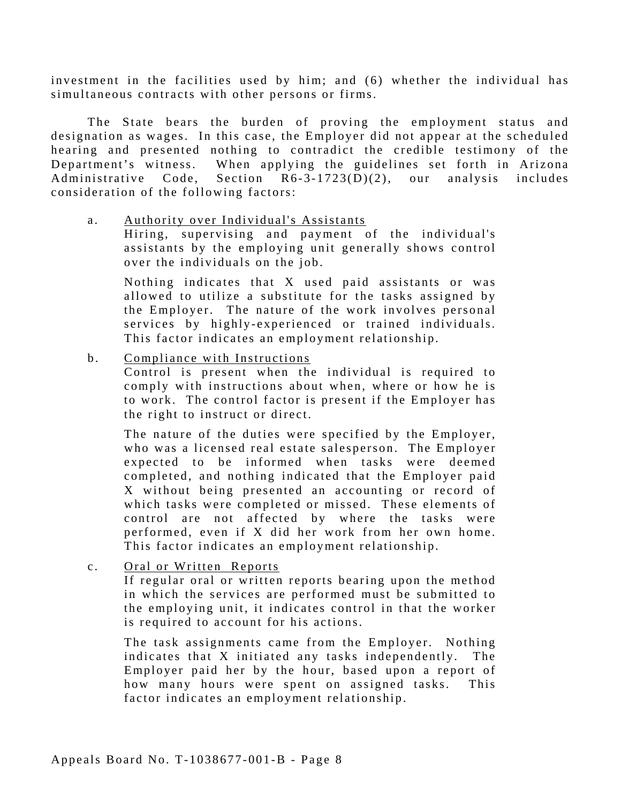investment in the facilities used by him; and (6) whether the individual has simultaneous contracts with other persons or firms.

The State bears the burden of proving the employment status and designation as wages. In this case, the Employer did not appear at the scheduled hearing and presented nothing to contradict the credible testimony of the Department's witness. When applying the guidelines set forth in Arizona Administrative Code, Section  $R6-3-1723(D)(2)$ , our analysis includes consideration of the following factors:

a. Authority over Individual's Assistants

Hiring, supervising and payment of the individual's assistants by the employing unit generally shows control over the individuals on the job.

Nothing indicates that X used paid assistants or was allowed to utilize a substitute for the tasks assigned by the Employer. The nature of the work involves personal services by highly-experienced or trained individuals. This factor indicates an employment relationship.

b. Compliance with Instructions

Control is present when the individual is required to comply with instructions about when, where or how he is to work. The control factor is present if the Employer has the right to instruct or direct.

The nature of the duties were specified by the Employer, who was a licensed real estate salesperson. The Employer expected to be informed when tasks were deemed completed, and nothing indicated that the Employer paid X without being presented an accounting or record of which tasks were completed or missed. These elements of control are not affected by where the tasks were performed, even if X did her work from her own home. This factor indicates an employment relationship.

c. Oral or Written Reports

If regular oral or written reports bearing upon the method in which the services are performed must be submitted to the employing unit, it indicates control in that the worker is required to account for his actions.

The task assignments came from the Employer. Nothing indicates that X initiated any tasks independently. The Employer paid her by the hour, based upon a report of how many hours were spent on assigned tasks. This factor indicates an employment relationship.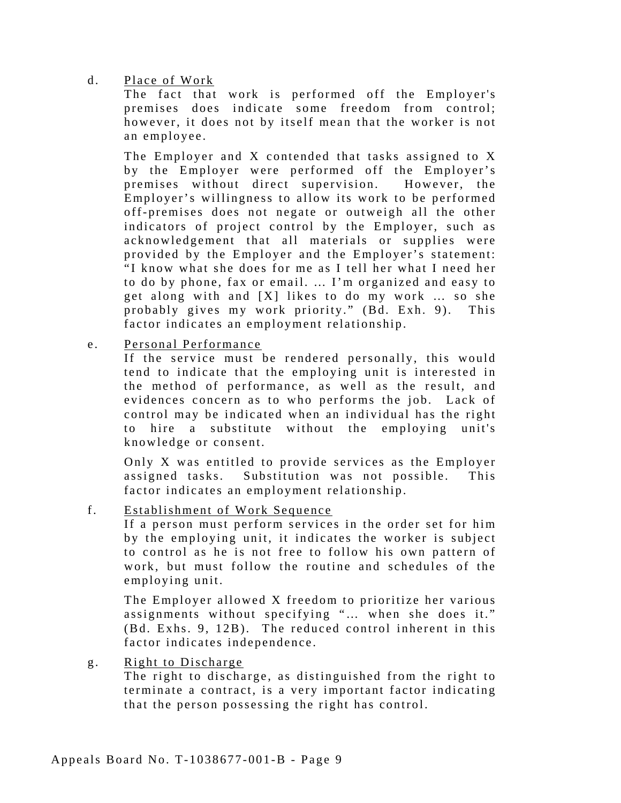#### d. Place of Work

The fact that work is performed off the Employer's premises does indicate some freedom from control; however, it does not by itself mean that the worker is not an employee.

The Employer and X contended that tasks assigned to X by the Employer were performed off the Employer's premises without direct supervision. However, the Employer's willingness to allow its work to be performed off-premises does not negate or outweigh all the other indicators of project control by the Employer, such as acknowledgement that all materials or supplies were provided by the Employer and the Employer's statement: "I know what she does for me as I tell her what I need her to do by phone, fax or email. … I'm organized and easy to get along with and [X] likes to do my work … so she probably gives my work priority." (Bd. Exh. 9). This factor indicates an employment relationship.

e. Personal Performance

If the service must be rendered personally, this would tend to indicate that the employing unit is interested in the method of performance, as well as the result, and evidences concern as to who performs the job. Lack of control may be indicated when an individual has the right to hire a substitute without the employing unit's knowledge or consent.

Only X was entitled to provide services as the Employer assigned tasks. Substitution was not possible. This factor indicates an employment relationship.

f. Establishment of Work Sequence

If a person must perform services in the order set for him by the employing unit, it indicates the worker is subject to control as he is not free to follow his own pattern of work, but must follow the routine and schedules of the employing unit.

The Employer allowed X freedom to prioritize her various assignments without specifying "… when she does it." (Bd. Exhs. 9, 12B). The reduced control inherent in this factor indicates independence.

g. Right to Discharge

The right to discharge, as distinguished from the right to terminate a contract, is a very important factor indicating that the person possessing the right has control.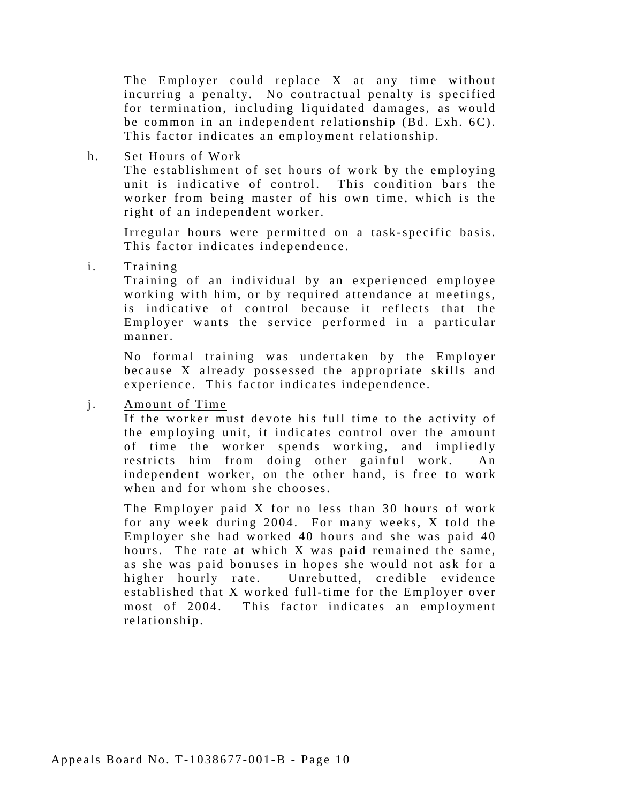The Employer could replace X at any time without incurring a penalty. No contractual penalty is specified for termination, including liquidated damages, as would be common in an independent relationship (Bd. Exh. 6C). This factor indicates an employment relationship.

h. Set Hours of Work

The establishment of set hours of work by the employing unit is indicative of control. This condition bars the worker from being master of his own time, which is the right of an independent worker.

Irregular hours were permitted on a task-specific basis. This factor indicates independence.

i. Training

Training of an individual by an experienced employee working with him, or by required attendance at meetings, is indicative of control because it reflects that the Employer wants the service performed in a particular manner.

No formal training was undertaken by the Employer because X already possessed the appropriate skills and experience. This factor indicates independence.

j. Amount of Time

If the worker must devote his full time to the activity of the employing unit, it indicates control over the amount of time the worker spends working, and impliedly restricts him from doing other gainful work. An independent worker, on the other hand, is free to work when and for whom she chooses.

The Employer paid X for no less than 30 hours of work for any week during 2004. For many weeks, X told the Employer she had worked 40 hours and she was paid 40 hours. The rate at which X was paid remained the same, as she was paid bonuses in hopes she would not ask for a higher hourly rate. Unrebutted, credible evidence established that X worked full-time for the Employer over most of 2004. This factor indicates an employment relationship.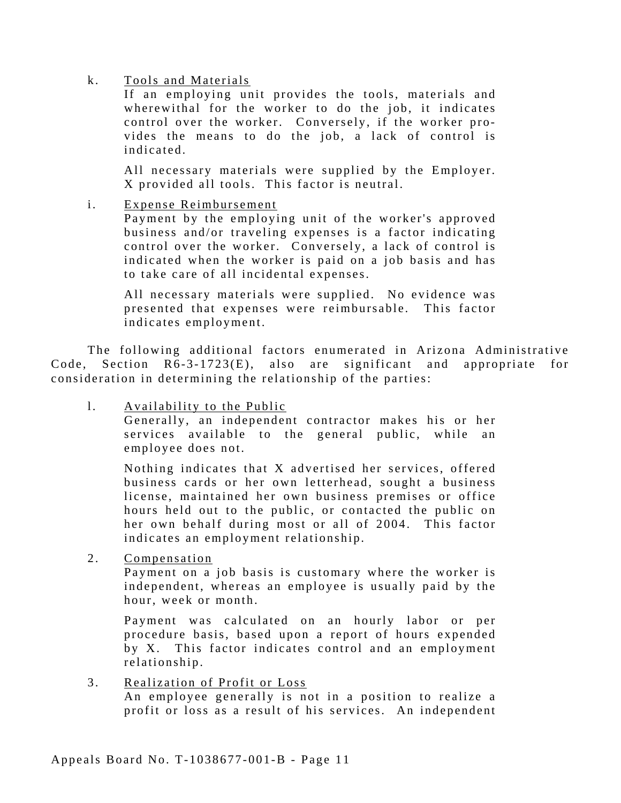#### k. Tools and Materials

If an employing unit provides the tools, materials and wherewithal for the worker to do the job, it indicates control over the worker. Conversely, if the worker provides the means to do the job, a lack of control is indicated.

All necessary materials were supplied by the Employer. X provided all tools. This factor is neutral.

i. Expense Reimbursement

Payment by the employing unit of the worker's approved business and/or traveling expenses is a factor indicating control over the worker. Conversely, a lack of control is indicated when the worker is paid on a job basis and has to take care of all incidental expenses.

All necessary materials were supplied. No evidence was presented that expenses were reimbursable. This factor indicates employment.

The following additional factors enumerated in Arizona Administrative Code, Section  $R6-3-1723(E)$ , also are significant and appropriate for consideration in determining the relationship of the parties:

l. Availability to the Public

Generally, an independent contractor makes his or her services available to the general public, while an employee does not.

Nothing indicates that X advertised her services, offered business cards or her own le tterhead, sought a business license, maintained her own business premises or office hours held out to the public, or contacted the public on her own behalf during most or all of 2004. This factor indicates an employment relationship.

2. Compensation

Payment on a job basis is customary where the worker is independent, whereas an employee is usually paid by the hour, week or month.

Payment was calculated on an hourly labor or per procedure basis, based upon a report of hours expended by X. This factor indicates control and an employment relationship.

3. Realization of Profit or Loss An employee generally is not in a position to realize a profit or loss as a result of his services. An independent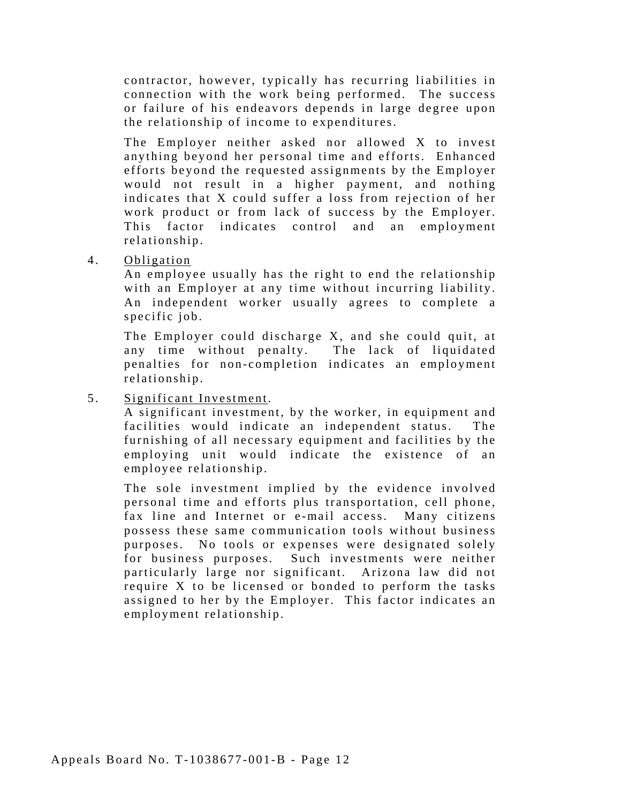contractor, however, typically has recurring liabilities in connection with the work being performed. The success or failure of his endeavors depends in large degree upon the relationship of income to expenditures.

The Employer neither asked nor allowed X to invest anything beyond her personal time and efforts. Enhanced efforts beyond the requested assignments by the Employer would not result in a higher payment, and nothing indicates that X could suffer a loss from rejection of her work product or from lack of success by the Employer. This factor indicates control and an employment relationship.

4. Obligation

An employee usually has the right to end the relationship with an Employer at any time without incurring liability. An independent worker usually agrees to complete a specific job.

The Employer could discharge X, and she could quit, at any time without penalty. The lack of liquidated penalties for non-completion indicates an employment relationship.

5. Significant Investme nt.

A significant investment, by the worker, in equipment and facilities would indicate an independent status. The furnishing of all necessary equipment and facilities by the employing unit would indicate the existence of an employee relationship.

The sole investment implied by the evidence involved personal time and efforts plus transportation, cell phone, fax line and Internet or e-mail access. Many citizens possess these same communication tools without business purposes. No tools or expenses were designated solely for business purposes. Such investments were neither particularly large nor significant. Arizona law did not require X to be licensed or bonded to perform the tasks assigned to her by the Employer. This factor indicates an employment relationship.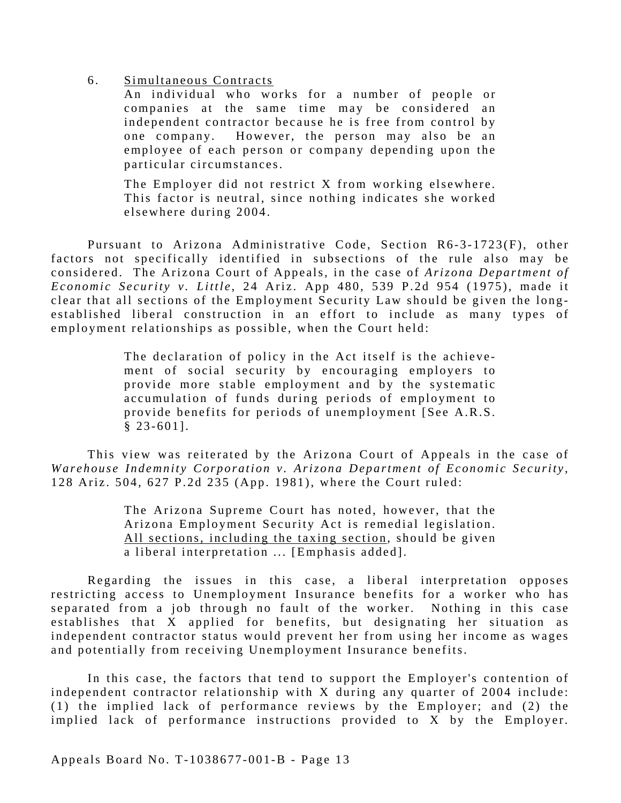#### 6. Simultaneous Contracts

An individual who works for a number of people or companies at the same time may be considered an independent contractor because he is free from control by one company. However, the person may also be an employee of each person or company depending upon the particular circumstances.

The Employer did not restrict X from working elsewhere. This factor is neutral, since nothing indicates she worked elsewhere during 2004.

Pursuant to Arizona Administrative Code, Section R6-3-1723(F), other factors not specifically identified in subsections of the rule also may be considered. The Arizona Court of Appeals, in the case of *Arizona Department of Economic Security v. Little*, 24 Ariz. App 480, 539 P.2d 954 (1975), made it clear that all sections of the Employment Security Law should be given the longestablished liberal construction in an effort to include as many types of employment relationships as possible, when the Court held:

> The declaration of policy in the Act itself is the achievement of social security by encouraging employers to provide more stable employment and by the systematic accumulation of funds during periods of employment to provide benefits for periods of unemployment [See A.R.S.  $§ 23-601].$

This view was reiterated by the Arizona Court of Appeals in the case of *Warehouse Indemnity Corporation v. Arizona Department of Economic Security,*  128 Ariz. 504, 627 P.2d 235 (App. 1981), where the Court ruled:

> The Arizona Supreme Court has noted, however, that the Arizona Employment Security Act is remedial legislation. All sections, including the taxing section, should be given a liberal interpretation ... [Emphasis added].

Regarding the issues in this case, a liberal interpretation opposes restricting access to Unemployment Insurance benefits for a worker who has separated from a job through no fault of the worker. Nothing in this case establishes that X applied for benefits, but designating her situation as independent contractor status would prevent her from using her income as wages and potentially from receiving Unemployment Insurance benefits.

In this case, the factors that tend to support the Employer's contention of independent contractor relationship with X during any quarter of 2004 include: (1) the implied lack of performance reviews by the Employer; and (2) the implied lack of performance instructions provided to X by the Employer.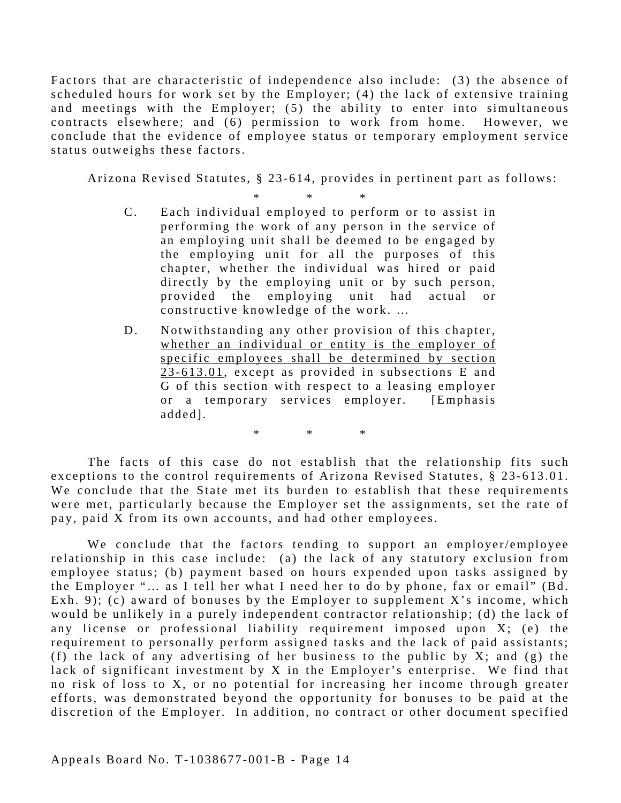Factors that are characteristic of independence also include: (3) the absence of scheduled hours for work set by the Employer; (4) the lack of extensive training and meetings with the Employer; (5) the ability to enter into simultaneous contracts elsewhere; and (6) permission to work from home. However, we conclude that the evidence of employee status or temporary employment service status outweighs these factors.

Arizona Revised Statutes, § 23-614, provides in pertinent part as follows:

- \* \* \* C. Each individual employed to perform or to assist in performing the work of any person in the service of an employing unit shall be deemed to be engaged by the employing unit for all the purposes of this chapter, whether the individual was hired or paid directly by the employing unit or by such person, provided the employing unit had actual or constructive knowledge of the work. …
- D. Notwithstanding any other provision of this chapter, whether an individual or entity is the employer of specific employees shall be determined by section  $23-613.01$ , except as provided in subsections E and G of this section with re spect to a leasing employer or a temporary services employer. [Emphasis added].

The facts of this case do not establish that the relationship fits such exceptions to the control requirements of Arizona Revised Statutes, § 23-613.01. We conclude that the State met its burden to establish that these requirements were met, particularly because the Employer set the assignments, set the rate of pay, paid X from its own accounts, and had other employees.

\* \* \*

We conclude that the factors tending to support an employer/employee relationship in this case include: (a) the lack of any statutory exclusion from employee status; (b) payment based on hours expended upon tasks assigned by the Employer "... as I tell her what I need her to do by phone, fax or email" (Bd. Exh. 9); (c) award of bonuses by the Employer to supplement X's income, which would be unlikely in a purely independent contractor relationship; (d) the lack of any license or professional liability requirement imposed upon  $X$ ; (e) the requirement to personally perform assigned tasks and the lack of paid assistants; (f) the lack of any advertising of her business to the public by X; and (g) the lack of significant investment by  $X$  in the Employer's enterprise. We find that no risk of loss to X, or no potential for increasing her income through greater efforts, was demonstrated beyond the opportunity for bonuses to be paid at the discretion of the Employer. In addition, no contract or other document specified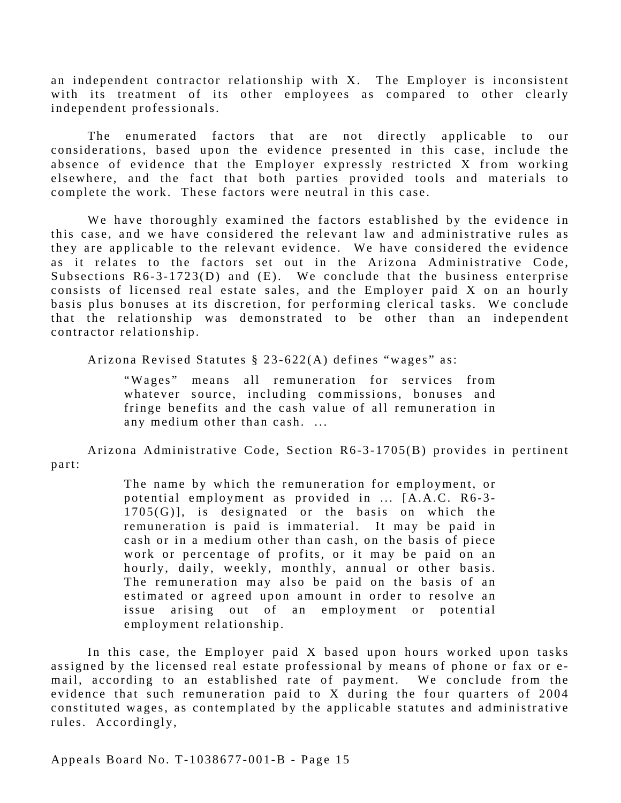an independent contractor relationship with X. The Employer is inconsistent with its treatment of its other employees as compared to other clearly independent professionals.

The enumerated factors that are not directly applicable to our considerations, based upon the evidence presented in this case, include the absence of evidence that the Employer expressly restricted X from working elsewhere, and the fact that both parties provided tools and materials to complete the work. These factors were neutral in this case.

We have thoroughly examined the factors established by the evidence in this case, and we have considered the relevant law and administrative rules as they are applicable to the relevant evidence. We have considered the evidence as it relates to the factors set out in the Arizona Administrative Code, Subsections R6-3-1723(D) and (E). We conclude that the business enterprise consists of licensed real estate sales, and the Employer paid X on an hourly basis plus bonuses at its discretion, for performing clerical tasks. We conclude that the relationship was demonstrated to be other than an independent contractor relationship.

Arizona Revised Statutes § 23-622(A) defines "wages" as:

"Wages" means all remuneration for services from whatever source, including commissions, bonuses and fringe benefits and the cash value of all remuneration in any medium other than cash. ...

Arizona Administrative Code, Section R6-3-1705(B) provides in pertinent part:

> The name by which the remuneration for employment, or potential employment as provided in ... [A.A.C. R6-3-1705(G)], is designated or the basis on which the remuneration is paid is immaterial. It may be paid in cash or in a medium other than cash, on the basis of piece work or percentage of profits, or it may be paid on an hourly, daily, weekly, monthly, annual or other basis. The remuneration may also be paid on the basis of an estimated or agreed upon amount in order to resolve an issue arising out of an employment or potential employment relationship.

In this case, the Employer paid X based upon hours worked upon tasks assigned by the licensed real estate professional by means of phone or fax or email, according to an established rate of payment. We conclude from the evidence that such remuneration paid to X during the four quarters of 2004 constituted wages, as contemplated by the applicable statutes and administrative rules. Accordingly,

Appeals Board No. T-1038677-001-B - Page 15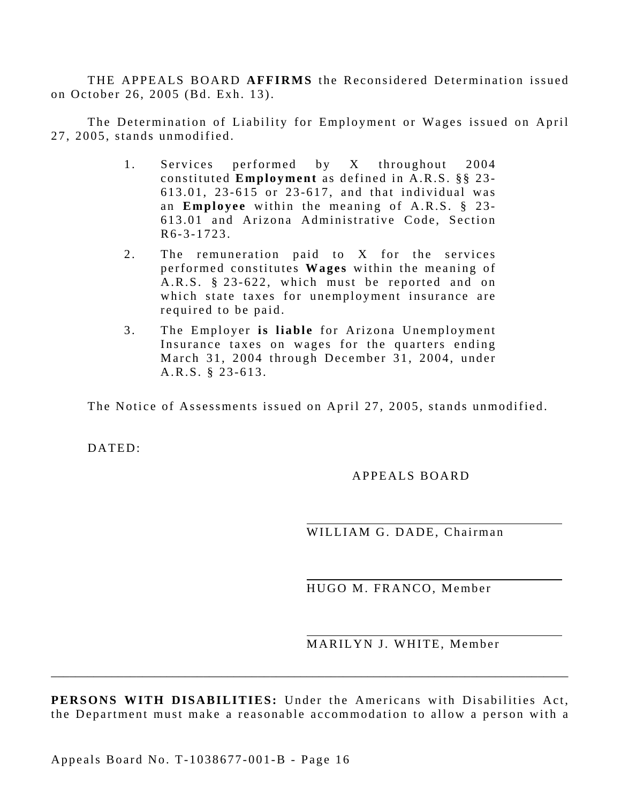THE APPEALS BOARD **AFFIRMS** the Reconsidered Determination issued on October 26, 2005 (Bd. Exh. 13).

The Determination of Liability for Employment or Wages issued on April 27, 2005, stands unmodified.

- 1. Services performed by X throughout 2004 constituted **Employment** as defined in A.R.S. §§ 23- 613.01, 23-615 or 23-617, and that individual was an **Employee** within the meaning of A.R.S. § 23-613.01 and Arizona Administrative Code, Section R6-3-1723.
- 2. The remuneration paid to X for the services performed constitutes **Wages** within the meaning of A.R.S.  $\S 23-622$ , which must be reported and on which state taxes for unemployment insurance are required to be paid.
- 3. The Employer is liable for Arizona Unemployment Insurance taxes on wages for the quarters ending March 31, 2004 through December 31, 2004, under A.R.S. § 23-613.

The Notice of Assessments issued on April 27, 2005, stands unmodified.

DATED:

APPEALS BOARD

WILLIAM G. DADE, Chairman

HUGO M. FRANCO, Member

MARILYN J. WHITE, Member

**PERSONS WITH DISABILITIES:** Under the Americans with Disabilities Act, the Department must make a reasonable accommodation to allow a person with a

\_\_\_\_\_\_\_\_\_\_\_\_\_\_\_\_\_\_\_\_\_\_\_\_\_\_\_\_\_\_\_\_\_\_\_\_\_\_\_\_\_\_\_\_\_\_\_\_\_\_\_\_\_\_\_\_\_\_\_\_\_\_\_\_\_\_\_\_\_\_\_\_\_\_\_\_\_\_\_\_\_\_\_\_\_

Appeals Board No. T-1038677-001-B - Page 16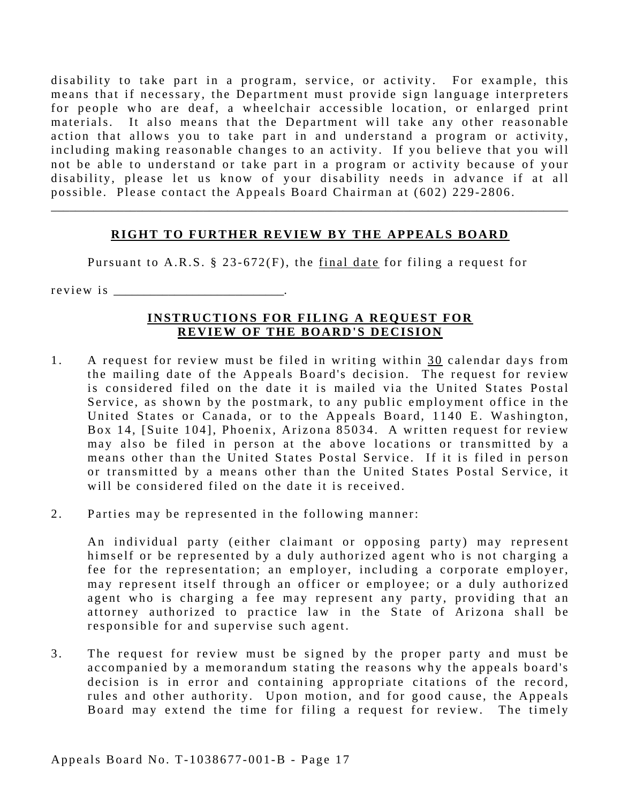disability to take part in a program, service, or activity. For example, this means that if necessary, the Department must provide sign language interpreters for people who are deaf, a wheelchair accessible location, or enlarged print materials. It also means that the Department will take any other reasonable action that allows you to take part in and understand a program or activity, including making reasonable changes to an activity. If you believe that you will not be able to understand or take part in a program or activity because of your disability, please let us know of your disability needs in advance if at all possible. Please contact the Appeals Board Chairman at (602) 229-2806.

## **RIGHT TO FURTHER REVIEW BY THE APPEALS BOARD**

\_\_\_\_\_\_\_\_\_\_\_\_\_\_\_\_\_\_\_\_\_\_\_\_\_\_\_\_\_\_\_\_\_\_\_\_\_\_\_\_\_\_\_\_\_\_\_\_\_\_\_\_\_\_\_\_\_\_\_\_\_\_\_\_\_\_\_\_\_\_\_\_\_\_\_\_\_\_\_\_\_\_\_\_\_

Pursuant to A.R.S. § 23-672(F), the final date for filing a request for

r e v i e w i s \_\_\_\_\_\_\_\_\_\_\_\_\_\_\_\_\_\_\_\_\_\_\_\_\_\_\_\_.

#### **INSTRUCTIONS FOR FILING A REQUEST FOR REVIEW OF THE BOARD'S DECISION**

- 1. A request for review must be filed in writing within  $30$  calendar days from the mailing date of the Appeals Board's decision. The request for review is considered filed on the date it is mailed via the United States Postal Service, as shown by the postmark, to any public employment office in the United States or Canada, or to the Appeals Board, 1140 E. Washington, Box 14, [Suite 104], Phoenix, Arizona 85034. A written request for review may also be filed in person at the above locations or transmitted by a means other than the United States Postal Service. If it is filed in person or transmitted by a means other than the United States Postal Service, it will be considered filed on the date it is received.
- 2. Parties may be represented in the following manner:

An individual party (either claimant or opposing party) may represent himself or be represented by a duly authorized agent who is not charging a fee for the representation; an employer, including a corporate employer, may represent itself through an officer or employee; or a duly authorized agent who is charging a fee may represent any party, providing that an attorney authorized to practice law in the State of Arizona shall be responsible for and supervise such agent.

3. The request for review must be signed by the proper party and must be accompanied by a memorandum stating the reasons why the appeals board's decision is in error and containing appropriate citations of the record, rules and other authority. Upon motion, and for good cause, the Appeals Board may extend the time for filing a request for review. The timely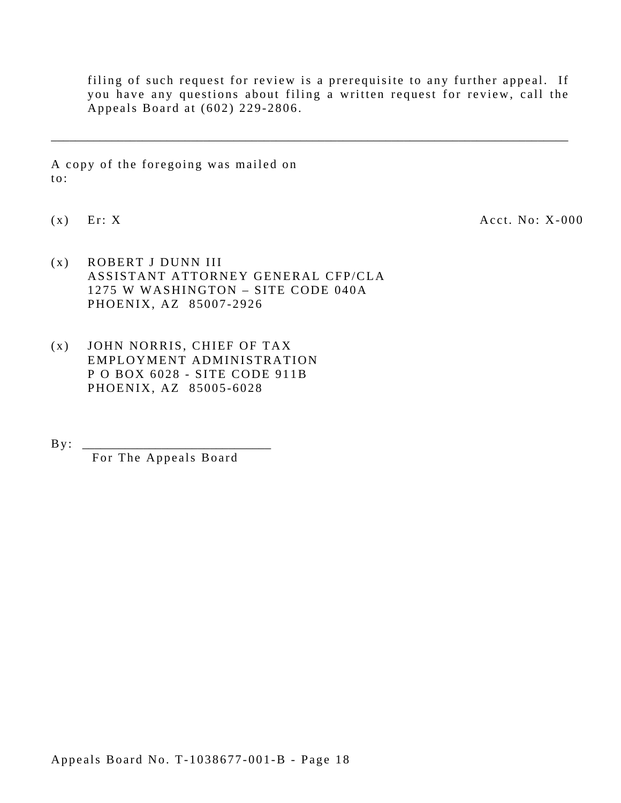filing of such request for review is a prerequisite to any further appeal. If you have any questions about filing a written request for review, call the Appeals Board at (602) 229-2806.

\_\_\_\_\_\_\_\_\_\_\_\_\_\_\_\_\_\_\_\_\_\_\_\_\_\_\_\_\_\_\_\_\_\_\_\_\_\_\_\_\_\_\_\_\_\_\_\_\_\_\_\_\_\_\_\_\_\_\_\_\_\_\_\_\_\_\_\_\_\_\_\_\_\_\_\_\_\_\_\_\_\_\_\_\_

A copy of the foregoing was mailed on to:

 $(x)$  Er: X  $Acct. No: X-000$ 

- (x) ROBERT J DUNN III ASSISTANT ATTORNEY GENERAL CFP/CLA 1275 W WASHINGTON – SITE CODE 040A PHOENIX, AZ 85007-2926
- (x) JOHN NORRIS, CHIEF OF TAX EMPLOYMENT ADMINISTRATION P O BOX 6028 - SITE CODE 911B PHOENIX, AZ 85005-6028

By : \_\_\_\_\_\_\_\_\_\_\_\_\_\_\_\_\_\_\_\_\_\_\_\_\_\_\_\_\_\_\_

For The Appeals Board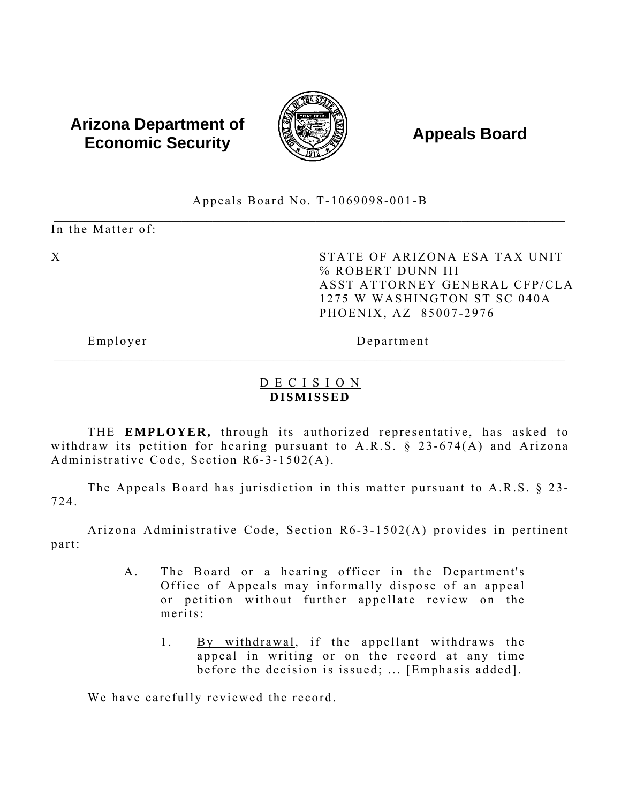# **Arizona Department of Economic Security Appeals Board** *Appeals*



Appeals Board No. T-1069098-001-B

 \_\_\_\_\_\_\_\_\_\_\_\_\_\_\_\_\_\_\_\_\_\_\_\_\_\_\_\_\_\_\_\_\_\_\_\_\_\_\_\_\_\_\_\_\_\_\_\_\_\_\_\_\_\_\_\_\_\_\_\_\_\_\_\_\_\_\_\_\_\_\_\_\_\_\_\_\_\_\_\_\_\_\_\_ In the Matter of:

X STATE OF ARIZONA ESA TAX UNIT ℅ ROBERT DUNN III ASST ATTORNEY GENERAL CFP/CLA 1275 W WASHINGTON ST SC 040A PHOENIX, AZ 85007-2976

Employer Department

# D E C I S I O N **DISMISSED**

\_\_\_\_\_\_\_\_\_\_\_\_\_\_\_\_\_\_\_\_\_\_\_\_\_\_\_\_\_\_\_\_\_\_\_\_\_\_\_\_\_\_\_\_\_\_\_\_\_\_\_\_\_\_\_\_\_\_\_\_\_\_\_\_\_\_\_\_\_\_\_\_\_\_\_\_\_\_\_\_\_\_\_\_

THE **EMPLOYER**, through its authorized representative, has asked to withdraw its petition for hearing pursuant to A.R.S.  $\S$  23-674(A) and Arizona Administrative Code, Section R6-3-1502(A).

The Appeals Board has jurisdiction in this matter pursuant to A.R.S. § 23- 724.

Arizona Administrative Code, Section R6-3-1502(A) provides in pertinent part:

- A. The Board or a hearing officer in the Department's Office of Appeals may informally dispose of an appeal or petition without further appellate review on the merits:
	- 1. By withdrawal, if the appellant withdraws the appeal in writing or on the record at any time before the decision is issued; ... [Emphasis added].

We have carefully reviewed the record.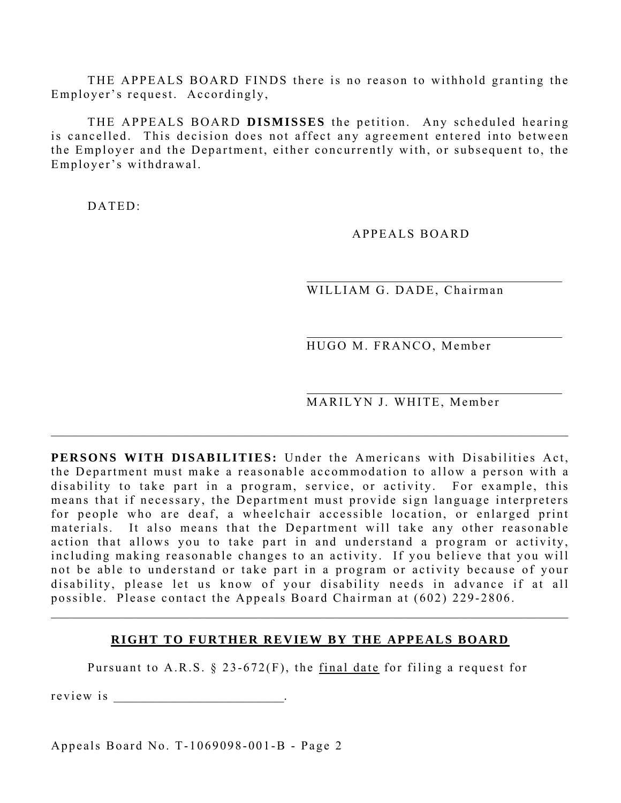THE APPEALS BOARD FINDS there is no reason to withhold granting the Employer's request. Accordingly,

THE APPEALS BOARD **DISMISSES** the petition. Any scheduled hearing is cancelled. This decision does not affect any agreement entered into between the Employer and the Department, either concurrently with, or subsequent to, the Employer's withdrawal.

 $DATED$ 

APPEALS BOARD

WILLIAM G. DADE, Chairman

HUGO M. FRANCO, Member

MARILYN J. WHITE, Member

**PERSONS WITH DISABILITIES:** Under the Americans with Disabilities Act, the Department must make a reasonable accommodation to allow a person with a disability to take part in a program, service, or activity. For example, this means that if necessary, the Department must provide sign language interpreters for people who are deaf, a wheelchair accessible location, or enlarged print materials. It also means that the Department will take any other reasonable action that allows you to take part in and understand a program or activity, including making reasonable changes to an activity. If you believe that you will not be able to understand or take part in a program or activity because of your disability, please let us know of your disability needs in advance if at all possible. Please contact the Appeals Board Chairman at (602) 229-2806.

 $\_$  , and the state of the state of the state of the state of the state of the state of the state of the state of the state of the state of the state of the state of the state of the state of the state of the state of the

#### **RIGHT TO FURTHER REVIEW BY THE APPEALS BOARD**

 $\mathcal{L}_\mathcal{L} = \{ \mathcal{L}_\mathcal{L} = \{ \mathcal{L}_\mathcal{L} = \{ \mathcal{L}_\mathcal{L} = \{ \mathcal{L}_\mathcal{L} = \{ \mathcal{L}_\mathcal{L} = \{ \mathcal{L}_\mathcal{L} = \{ \mathcal{L}_\mathcal{L} = \{ \mathcal{L}_\mathcal{L} = \{ \mathcal{L}_\mathcal{L} = \{ \mathcal{L}_\mathcal{L} = \{ \mathcal{L}_\mathcal{L} = \{ \mathcal{L}_\mathcal{L} = \{ \mathcal{L}_\mathcal{L} = \{ \mathcal{L}_\mathcal{$ 

Pursuant to A.R.S.  $\S$  23-672(F), the final date for filing a request for

r e v i e w i s \_\_\_\_\_\_\_\_\_\_\_\_\_\_\_\_\_\_\_\_\_\_\_\_\_\_\_\_.

Appeals Board No. T-1069098-001-B - Page 2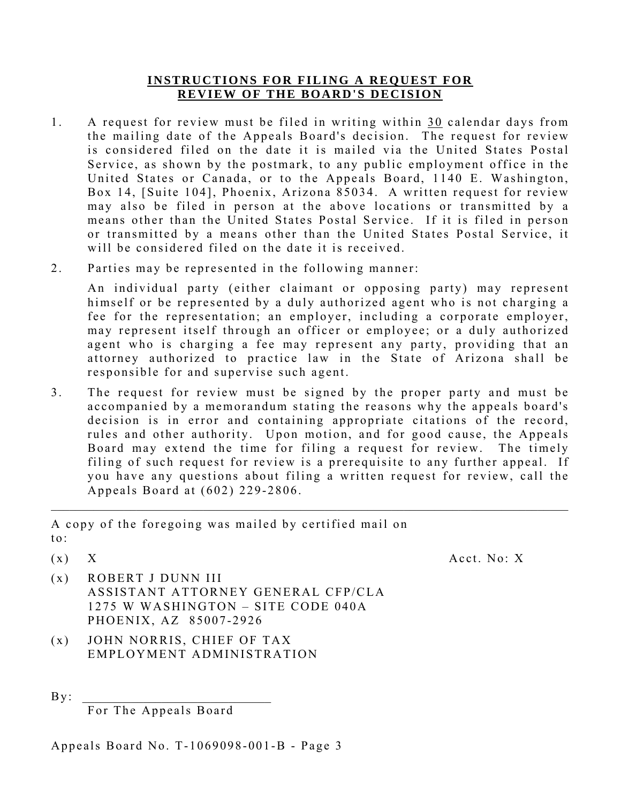#### **INSTRUCTIONS FOR FILING A REQUEST FOR REVIEW OF THE BOARD'S DECISION**

- 1. A request for review must be filed in writing within 30 calendar days from the mailing date of the Appeals Board's decision. The request for review is considered filed on the date it is mailed via the United States Postal Service, as shown by the postmark, to any public employment office in the United States or Canada, or to the Appeals Board, 1140 E. Washington, Box 14, [Suite 104], Phoenix, Arizona 85034. A written request for review may also be filed in person at the above locations or transmitted by a means other than the United States Postal Service. If it is filed in person or transmitted by a means other than the United States Postal Service, it will be considered filed on the date it is received.
- 2. Parties may be represented in the following manner:

An individual party (either claimant or opposing party) may represent himself or be represented by a duly authorized agent who is not charging a fee for the representation; an employer, including a corporate employer, may represent itself through an officer or employee; or a duly authorized agent who is charging a fee may represent any party, providing that an attorney authorized to practice law in the State of Arizona shall be responsible for and supervise such agent.

3. The request for review must be signed by the proper party and must be accompanied by a memorandum stating the reasons why the appeals board's decision is in error and containing appropriate citations of the record, rules and other authority. Upon motion, and for good cause, the Appeals Board may extend the time for filing a request for review. The timely filing of such request for review is a prerequisite to any further appeal. If you have any questions about filing a written request for review, call the Appeals Board at (602) 229-2806.

 $\_$  , and the state of the state of the state of the state of the state of the state of the state of the state of the state of the state of the state of the state of the state of the state of the state of the state of the

A copy of the foregoing was mailed by certified mail on  $\mathfrak{t}$  o  $\cdot$ 

 $(x)$  X  $Acct. No: X$ 

- (x) ROBERT J DUNN III ASSISTANT ATTORNEY GENERAL CFP/CLA 1275 W WASHINGTON – SITE CODE 040A PHOENIX, AZ 85007-2926
- (x) JOHN NORRIS, CHIEF OF TAX EMPLOYMENT ADMINISTRATION
- $By:$

For The Appeals Board

Appeals Board No. T-1069098-001-B - Page 3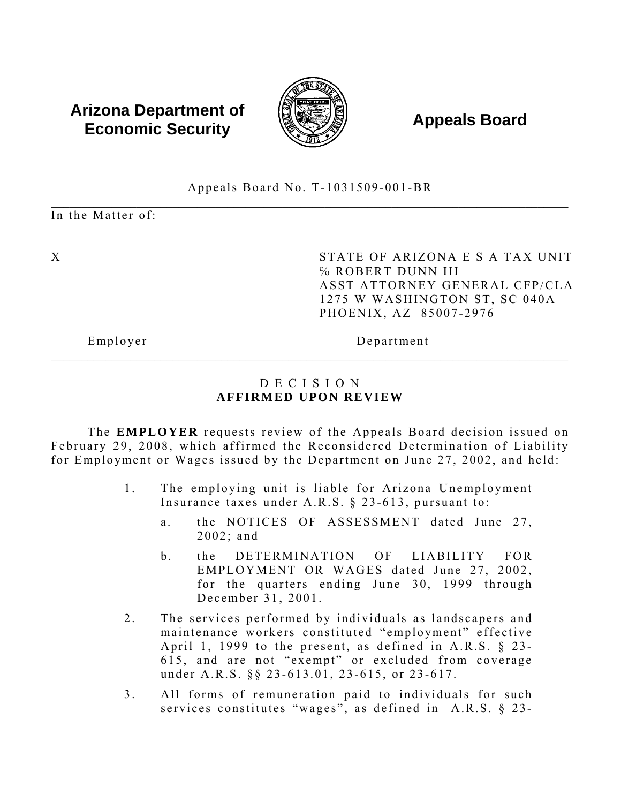# **Arizona Department of Economic Security Appeals Board** *Appeals Board*



# Appeals Board No. T-1031509-001-BR

 $\_$  , and the state of the state of the state of the state of the state of the state of the state of the state of the state of the state of the state of the state of the state of the state of the state of the state of the In the Matter of:

X STATE OF ARIZONA E S A TAX UNIT ℅ ROBERT DUNN III ASST ATTORNEY GENERAL CFP/CLA 1275 W WASHINGTON ST, SC 040A PHOENIX, AZ 85007-2976

Employer Department

# D E C I S I O N **AFFIRMED UPON REVIEW**

 $\mathcal{L}_\mathcal{L} = \{ \mathcal{L}_\mathcal{L} = \{ \mathcal{L}_\mathcal{L} = \{ \mathcal{L}_\mathcal{L} = \{ \mathcal{L}_\mathcal{L} = \{ \mathcal{L}_\mathcal{L} = \{ \mathcal{L}_\mathcal{L} = \{ \mathcal{L}_\mathcal{L} = \{ \mathcal{L}_\mathcal{L} = \{ \mathcal{L}_\mathcal{L} = \{ \mathcal{L}_\mathcal{L} = \{ \mathcal{L}_\mathcal{L} = \{ \mathcal{L}_\mathcal{L} = \{ \mathcal{L}_\mathcal{L} = \{ \mathcal{L}_\mathcal{$ 

The **EMPLOYER** requests review of the Appeals Board decision issued on February 29, 2008, which affirmed the Reconsidered Determination of Liability for Employment or Wages issued by the Department on June 27, 2002, and held:

- 1. The employing unit is liable for Arizona Unemployment Insurance taxes under A.R.S. § 23-613, pursuant to:
	- a. the NOTICES OF ASSESSMENT dated June 27, 2002; and
	- b. the DETERMINATION OF LIABILITY FOR EMPLOYMENT OR WAGES dated June 27, 2002, for the quarters ending June 30, 1999 through December 31, 2001.
- 2. The services performed by individuals as landscapers and maintenance workers constituted "employment" effective April 1, 1999 to the present, as defined in A.R.S. § 23- 615, and are not "exempt" or excluded from coverage under A.R.S. §§ 23-613.01, 23-615, or 23-617.
- 3. All forms of remuneration paid to individuals for such services constitutes "wages", as defined in A.R.S. § 23-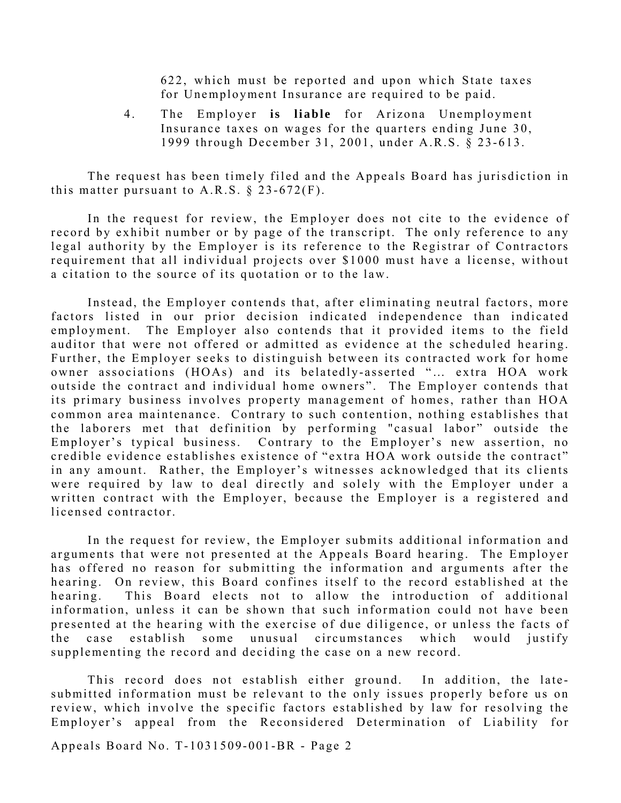622, which must be reported and upon which State taxes for Unemployment Insurance are required to be paid.

4. The Employer is liable for Arizona Unemployment Insurance taxes on wages for the quarters ending June 30, 1999 through December 31, 2001, under A.R.S. § 23-613.

The request has been timely filed and the Appeals Board has jurisdiction in this matter pursuant to A.R.S.  $\S$  23-672(F).

In the request for review, the Employer does not cite to the evidence of record by exhibit number or by page of the transcript. The only reference to any legal authority by the Employer is its reference to the Registrar of Contractors requirement that all individual projects over \$1000 must have a license, without a citation to the source of its quotation or to the law.

Instead, the Employer contends that, after eliminating neutral factors, more factors listed in our prior decision indicated independence than indicated employment. The Employer also contends that it provided items to the field auditor that were not offered or admitted as evidence at the scheduled hearing. Further, the Employer seeks to distinguish between its contracted work for home owner associations (HOAs) and its belatedly-asserted "... extra HOA work outside the contract and individual home owners". The Employer contends that its primary business involves property management of homes, rather than HOA common area maintenance. Contrary to such contention, nothing establishes that the laborers met that definition by performing "casual labor" outside the Employer's typical business. Contrary to the Employer's new assertion, no credible evidence establishes existence of "extra HOA work outside the contract" in any amount. Rather, the Employer's witnesses acknowledged that its clients were required by law to deal directly and solely with the Employer under a written contract with the Employer, because the Employer is a registered and licensed contractor.

In the request for review, the Employer submits additional information and arguments that were not presented at the Appeals Board hearing. The Employer has offered no reason for submitting the information and arguments after the hearing. On review, this Board confines itself to the record established at the hearing. This Board elects not to allow the introduction of additional information, unless it can be shown that such information could not have been presented at the hearing with the exercise of due diligence, or unless the facts of the case establish some unusual circumstances which would justify supplementing the record and deciding the case on a new record.

This record does not establish either ground. In addition, the latesubmitted information must be relevant to the only issues properly before us on review, which involve the specific factors established by law for resolving the Employer's appeal from the Reconsidered Determination of Liability for

Appeals Board No. T-1031509-001-BR - Page 2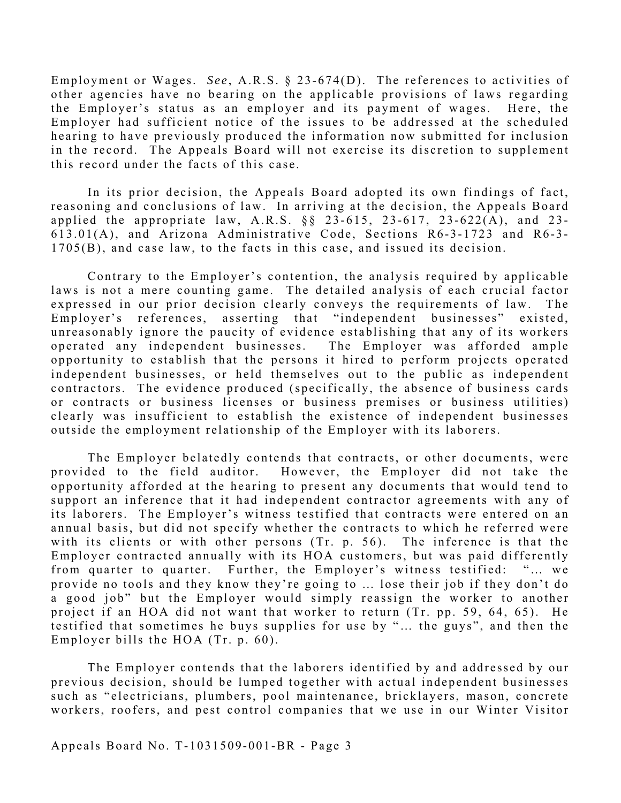Employment or Wages. *See* , A.R.S. § 23-674(D). The references to activities of other agencies have no bearing on the applicable provisions of laws regarding the Employer's status as an employer and its payment of wages. Here, the Employer had sufficient notice of the issues to be addressed at the scheduled hearing to have previously produced the information now submitted for inclusion in the record. The Appeals Board will not exercise its discretion to supplement this record under the facts of this case.

In its prior decision, the Appeals Board adopted its own findings of fact, reasoning and conclusions of law. In arriving at the decision, the Appeals Board applied the appropriate law, A.R.S.  $\S$  23-615, 23-617, 23-622(A), and 23-613.01(A), and Arizona Administrative Code, Sections R6-3-1723 and R6-3- 1705(B), and case law, to the facts in this case, and issued its decision.

Contrary to the Employer's contention, the analysis required by applicable laws is not a mere counting game. The detailed analysis of each crucial factor expressed in our prior decision clearly conveys the requirements of law. The Employer's references, asserting that "independent businesses" existed, unreasonably ignore the paucity of evidence establishing that any of its workers operated any independent businesses. The Employer was afforded ample opportunity to establish that the persons it hired to perform projects operated independent businesses, or held themselves out to the public as independent contractors. The evidence produced (specifically, the absence of business cards or contracts or business licenses or business premises or business utilities) clearly was insufficient to establish the existence of independent businesses outside the employment relationship of the Employer with its laborers.

The Employer belatedly contends that contracts, or other documents, were provided to the field auditor. However, the Employer did not take the opportunity afforded at the hearing to present any documents that would tend to support an inference that it had independent contractor agreements with any of its laborers. The Employer's witness testified that contracts were entered on an annual basis, but did not specify whether the contracts to which he referred were with its clients or with other persons (Tr. p. 56). The inference is that the Employer contracted annually with its HOA customers, but was paid differently from quarter to quarter. Further, the Employer's witness testified: "… we provide no tools and they know they're going to ... lose their job if they don't do a good job" but the Employer would simply reassign the worker to another project if an HOA did not want that worker to return (Tr. pp. 59, 64, 65). He testified that sometimes he buys supplies for use by "… the guys", and then the Employer bills the HOA (Tr. p. 60).

The Employer contends that the laborers identified by and addressed by our previous decision, should be lumped together with actual independent businesses such as "electricians, plumbers, pool maintenance, bricklayers, mason, concrete workers, roofers, and pest control companies that we use in our Winter Visitor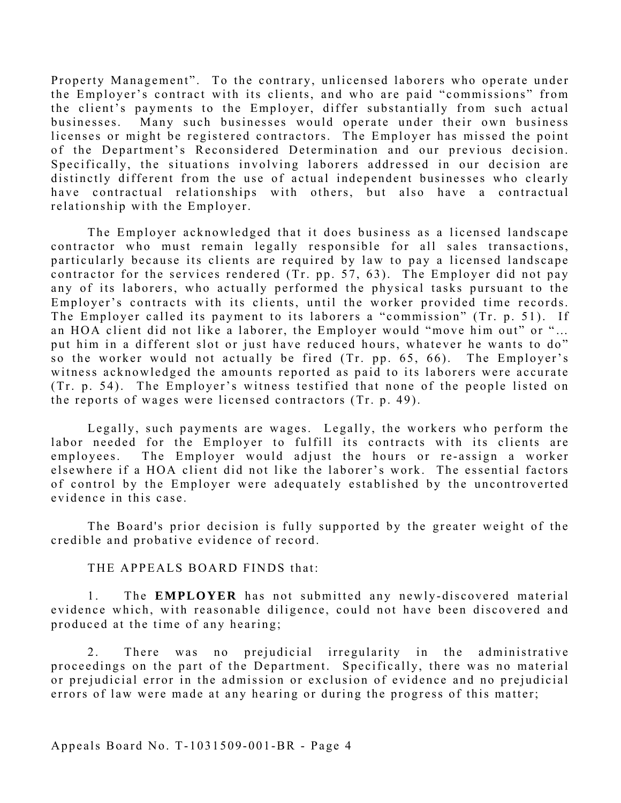Property Management". To the contrary, unlicensed laborers who operate under the Employer's contract with its clients, and who are paid "commissions" from the client's payments to the Employer, differ substantially from such actual businesses. Many such businesses would operate under their own business licenses or might be registered contractors. The Employer has missed the point of the Department's Reconsidered Determination and our previous decision. Specifically, the situations involving laborers addressed in our decision are distinctly different from the use of actual independent businesses who clearly have contractual relationships with others, but also have a contractual relationship with the Employer.

The Employer acknowledged that it does business as a licensed landscape contractor who must remain legally responsible for all sales transactions, particularly because its clients are required by law to pay a licensed landscape contractor for the services rendered (Tr. pp. 57, 63). The Employer did not pay any of its laborers, who actually performed the physical tasks pursuant to the Employer's contracts with its clients, until the worker provided time records. The Employer called its payment to its laborers a "commission" (Tr. p. 51). If an HOA client did not like a laborer, the Employer would "move him out" or "… put him in a different slot or just have reduced hours, whatever he wants to do" so the worker would not actually be fired (Tr. pp. 65, 66). The Employer's witness acknowledged the amounts reported as paid to its laborers were accurate (Tr. p. 54). The Employer's witness testified that none of the people listed on the reports of wages were licensed contractors (Tr. p. 49).

Legally, such payments are wages. Legally, the workers who perform the labor needed for the Employer to fulfill its contracts with its clients are employees. The Employer would adjust the hours or re-assign a worker elsewhere if a HOA client did not like the laborer's work. The essential factors of control by the Employer were adequately established by the uncontroverted evidence in this case.

The Board's prior decision is fully supported by the greater weight of the credible and probative evidence of record.

THE APPEALS BOARD FINDS that:

1. The **EMPLOYER** has not submitted any newly-discovered material evidence which, with reasonable diligence, could not have been discovered and produced at the time of any hearing;

2. There was no prejudicial irregularity in the administrative proceedings on the part of the Department. Specifically, there was no material or prejudicial error in the admission or exclusion of evidence and no prejudicial errors of law were made at any hearing or during the progress of this matter;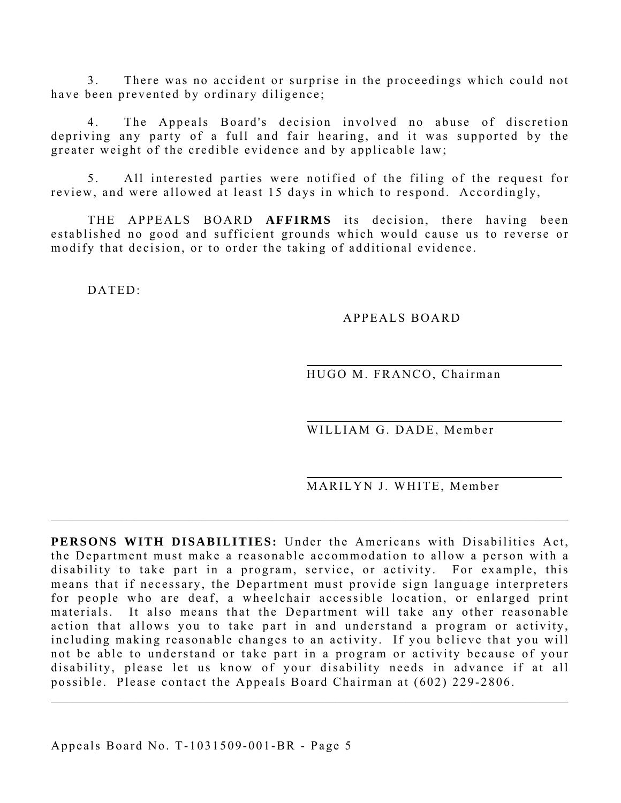3. There was no accident or surprise in the proceedings which could not have been prevented by ordinary diligence;

4. The Appeals Board's decision involved no abuse of discretion depriving any party of a full and fair hearing, and it was supported by the greater weight of the credible evidence and by applicable law;

5. All interested parties were notified of the filing of the request for review, and were allowed at least 15 days in which to respond. Accordingly,

THE APPEALS BOARD **AFFIRMS** its decision, there having been established no good and sufficient grounds which would cause us to reverse or modify that decision, or to order the taking of additional evidence.

DATED:

# APPEALS BOARD

HUGO M. FRANCO, Chairman

WILLIAM G. DADE, Member

MARILYN J. WHITE, Member

**PERSONS WITH DISABILITIES:** Under the Americans with Disabilities Act, the Department must make a reasonable accommodation to allow a person with a disability to take part in a program, service, or activity. For example, this means that if necessary, the Department must provide sign language interpreters for people who are deaf, a wheelchair accessible location, or enlarged print materials. It also means that the Department will take any other reasonable action that allows you to take part in and understand a program or activity, including making reasonable changes to an activity. If you believe that you will not be able to understand or take part in a program or activity because of your disability, please let us know of your disability needs in advance if at all possible. Please contact the Appeals Board Chairman at (602) 229-2806.

 $\_$  , and the set of the set of the set of the set of the set of the set of the set of the set of the set of the set of the set of the set of the set of the set of the set of the set of the set of the set of the set of th

 $\_$  , and the set of the set of the set of the set of the set of the set of the set of the set of the set of the set of the set of the set of the set of the set of the set of the set of the set of the set of the set of th

Appeals Board No. T-1031509-001-BR - Page 5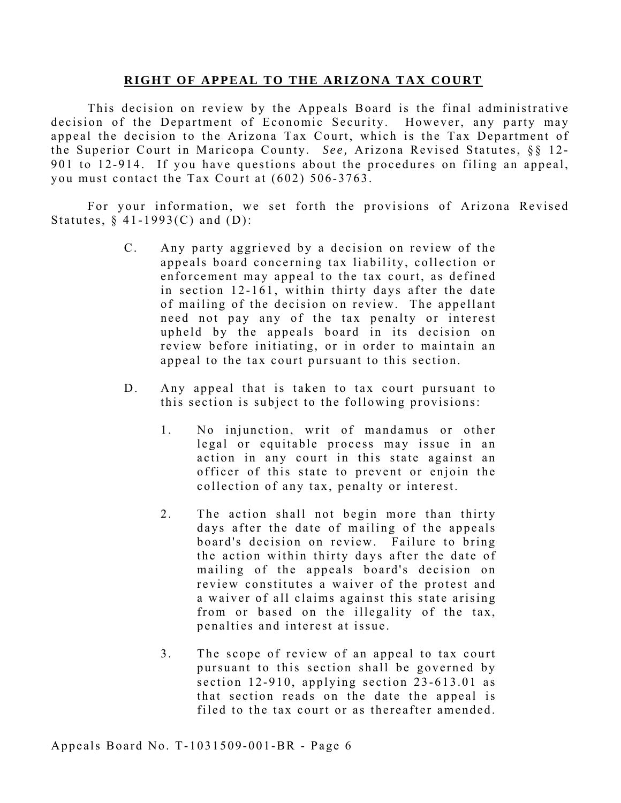#### **RIGHT OF APPEAL TO THE ARIZONA TAX COURT**

This decision on review by the Appeals Board is the final administrative decision of the Department of Economic Security. However, any party may appeal the decision to the Arizona Tax Court, which is the Tax Department of the Superior Court in Maricopa County. *See,* Arizona Revised Statutes, §§ 12- 901 to 12-914. If you have questions about the procedures on filing an appeal, you must contact the Tax Court at (602) 506-3763.

For your information, we set forth the provisions of Arizona Revised Statutes,  $§$  41-1993(C) and (D):

- C. Any party aggrieved by a decision on review of the appeals board concerning tax liability, collection or enforcement may appeal to the tax court, as defined in section 12-161, within thirty days after the date of mailing of the decision on review. The appellant need not pay any of the tax penalty or interest upheld by the appeals board in its decision on review before initiating, or in order to maintain an appeal to the tax court pursuant to this section.
- D. Any appeal that is taken to tax court pursuant to this section is subject to the following provisions:
	- 1. No injunction, writ of mandamus or other legal or equitable process may issue in an action in any court in this state against an officer of this state to prevent or enjoin the collection of any tax, penalty or interest.
	- 2. The action shall not begin more than thirty days after the date of mailing of the appeals board's decision on review. Failure to bring the action within thirty days after the date of mailing of the appeals board's decision on review constitutes a waiver of the protest and a waiver of all claims against this state arising from or based on the illegality of the tax, penalties and interest at issue.
	- 3. The scope of review of an appeal to tax court pursuant to this section shall be governed by section 12-910, applying section 23-613.01 as that section reads on the date the appeal is filed to the tax court or as thereafter amended.